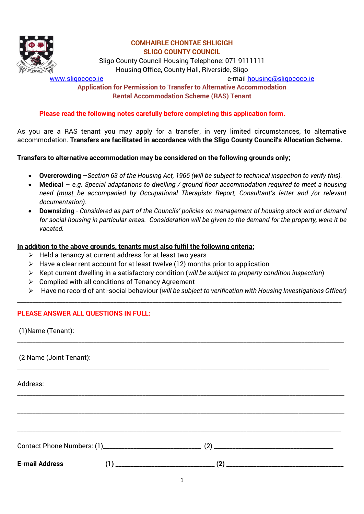

Sligo County Council Housing Telephone: 071 9111111 Housing Office, County Hall, Riverside, Sligo

[www.sligococo.ie](http://www.sligococo.ie/) e-mail [housing@sligococo.ie](mailto:housing@sligococo.ie)

## **Application for Permission to Transfer to Alternative Accommodation Rental Accommodation Scheme (RAS) Tenant**

## **Please read the following notes carefully before completing this application form.**

As you are a RAS tenant you may apply for a transfer, in very limited circumstances, to alternative accommodation. **Transfers are facilitated in accordance with the Sligo County Council's Allocation Scheme.** 

#### **Transfers to alternative accommodation may be considered on the following grounds only;**

- **Overcrowding** –*Section 63 of the Housing Act, 1966 (will be subject to technical inspection to verify this).*
- **Medical** *e.g. Special adaptations to dwelling / ground floor accommodation required to meet a housing need (must be accompanied by Occupational Therapists Report, Consultant's letter and /or relevant documentation).*
- **Downsizing**  *Considered as part of the Councils' policies on management of housing stock and or demand for social housing in particular areas. Consideration will be given to the demand for the property, were it be vacated.*

## **In addition to the above grounds, tenants must also fulfil the following criteria;**

- $\triangleright$  Held a tenancy at current address for at least two years
- $\triangleright$  Have a clear rent account for at least twelve (12) months prior to application
- Kept current dwelling in a satisfactory condition (*will be subject to property condition inspection*)

**\_\_\_\_\_\_\_\_\_\_\_\_\_\_\_\_\_\_\_\_\_\_\_\_\_\_\_\_\_\_\_\_\_\_\_\_\_\_\_\_\_\_\_\_\_\_\_\_\_\_\_\_\_\_\_\_\_\_\_\_\_\_\_\_\_\_\_\_\_\_\_\_\_\_\_\_\_\_\_\_\_\_\_\_\_\_\_\_\_\_\_\_\_\_\_\_\_\_\_\_\_\_\_\_\_\_\_\_**

\_\_\_\_\_\_\_\_\_\_\_\_\_\_\_\_\_\_\_\_\_\_\_\_\_\_\_\_\_\_\_\_\_\_\_\_\_\_\_\_\_\_\_\_\_\_\_\_\_\_\_\_\_\_\_\_\_\_\_\_\_\_\_\_\_\_\_\_\_\_\_\_\_\_\_\_\_\_\_\_\_\_\_\_\_\_\_\_\_\_\_\_\_\_\_\_\_\_\_\_\_\_\_\_\_\_\_

\_\_\_\_\_\_\_\_\_\_\_\_\_\_\_\_\_\_\_\_\_\_\_\_\_\_\_\_\_\_\_\_\_\_\_\_\_\_\_\_\_\_\_\_\_\_\_\_\_\_\_\_\_\_\_\_\_\_\_\_\_\_\_\_\_\_\_\_\_\_\_\_\_\_\_\_\_\_\_\_\_\_\_\_\_\_\_\_\_\_\_\_\_\_\_\_\_\_\_\_\_\_\_\_\_\_\_

\_\_\_\_\_\_\_\_\_\_\_\_\_\_\_\_\_\_\_\_\_\_\_\_\_\_\_\_\_\_\_\_\_\_\_\_\_\_\_\_\_\_\_\_\_\_\_\_\_\_\_\_\_\_\_\_\_\_\_\_\_\_\_\_\_\_\_\_\_\_\_\_\_\_\_\_\_\_\_\_\_\_\_\_\_\_\_\_\_\_\_\_\_\_\_\_\_\_\_\_\_\_\_\_\_\_\_

\_\_\_\_\_\_\_\_\_\_\_\_\_\_\_\_\_\_\_\_\_\_\_\_\_\_\_\_\_\_\_\_\_\_\_\_\_\_\_\_\_\_\_\_\_\_\_\_\_\_\_\_\_\_\_\_\_\_\_\_\_\_\_\_\_\_\_\_\_\_\_\_\_\_\_\_\_\_\_\_\_\_\_\_\_\_\_\_\_\_\_\_\_\_\_\_\_\_\_\_\_\_\_\_\_\_

Contact Phone Numbers: (1)\_\_\_\_\_\_\_\_\_\_\_\_\_\_\_\_\_\_\_\_\_\_\_\_\_\_\_\_\_\_\_\_ (2) \_\_\_\_\_\_\_\_\_\_\_\_\_\_\_\_\_\_\_\_\_\_\_\_\_\_\_\_\_\_\_\_\_\_\_\_\_\_\_

\_\_\_\_\_\_\_\_\_\_\_\_\_\_\_\_\_\_\_\_\_\_\_\_\_\_\_\_\_\_\_\_\_\_\_\_\_\_\_\_\_\_\_\_\_\_\_\_\_\_\_\_\_\_\_\_\_\_\_\_\_\_\_\_\_\_\_\_\_\_\_\_\_\_\_\_\_\_\_\_\_\_\_\_\_\_\_\_\_\_\_\_\_\_\_\_\_\_\_\_\_\_

- $\triangleright$  Complied with all conditions of Tenancy Agreement
- Have no record of anti-social behaviour (*will be subject to verification with Housing Investigations Officer)*

## **PLEASE ANSWER ALL QUESTIONS IN FULL:**

(1)Name (Tenant):

(2 Name (Joint Tenant):

Address:

**E-mail Address (1) \_\_\_\_\_\_\_\_\_\_\_\_\_\_\_\_\_\_\_\_\_\_\_\_\_\_\_\_\_\_\_\_\_ (2) \_\_\_\_\_\_\_\_\_\_\_\_\_\_\_\_\_\_\_\_\_\_\_\_\_\_\_\_\_\_\_\_\_\_\_\_\_\_\_**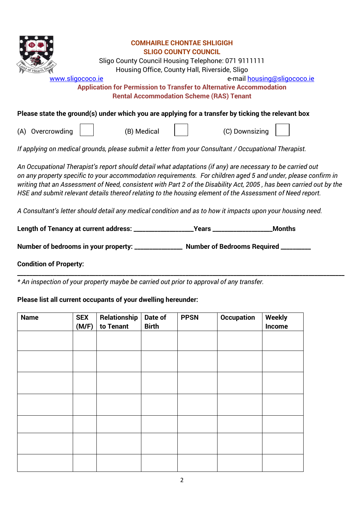| <b>COMHAIRLE CHONTAE SHLIGIGH</b><br><b>SLIGO COUNTY COUNCIL</b><br>Sligo County Council Housing Telephone: 071 9111111<br>Housing Office, County Hall, Riverside, Sligo<br>e-mail housing@sligococo.ie<br>www.sligococo.ie<br><b>Application for Permission to Transfer to Alternative Accommodation</b><br><b>Rental Accommodation Scheme (RAS) Tenant</b>                                                                                                    |  |  |  |
|-----------------------------------------------------------------------------------------------------------------------------------------------------------------------------------------------------------------------------------------------------------------------------------------------------------------------------------------------------------------------------------------------------------------------------------------------------------------|--|--|--|
| Please state the ground(s) under which you are applying for a transfer by ticking the relevant box                                                                                                                                                                                                                                                                                                                                                              |  |  |  |
| (A) Overcrowding<br>(B) Medical<br>(C) Downsizing                                                                                                                                                                                                                                                                                                                                                                                                               |  |  |  |
| If applying on medical grounds, please submit a letter from your Consultant / Occupational Therapist.                                                                                                                                                                                                                                                                                                                                                           |  |  |  |
| An Occupational Therapist's report should detail what adaptations (if any) are necessary to be carried out<br>on any property specific to your accommodation requirements. For children aged 5 and under, please confirm in<br>writing that an Assessment of Need, consistent with Part 2 of the Disability Act, 2005, has been carried out by the<br>HSE and submit relevant details thereof relating to the housing element of the Assessment of Need report. |  |  |  |
| A Consultant's letter should detail any medical condition and as to how it impacts upon your housing need.                                                                                                                                                                                                                                                                                                                                                      |  |  |  |
| Length of Tenancy at current address: ______________________Years _______________<br><b>Months</b>                                                                                                                                                                                                                                                                                                                                                              |  |  |  |
| Number of bedrooms in your property: ________________ Number of Bedrooms Required ________                                                                                                                                                                                                                                                                                                                                                                      |  |  |  |
|                                                                                                                                                                                                                                                                                                                                                                                                                                                                 |  |  |  |

**\_\_\_\_\_\_\_\_\_\_\_\_\_\_\_\_\_\_\_\_\_\_\_\_\_\_\_\_\_\_\_\_\_\_\_\_\_\_\_\_\_\_\_\_\_\_\_\_\_\_\_\_\_\_\_\_\_\_\_\_\_\_\_\_\_\_\_\_\_\_\_\_\_\_\_\_\_\_\_\_\_\_\_\_\_\_\_\_\_\_\_\_\_\_\_\_\_\_\_\_\_\_\_\_\_\_\_\_\_**

## **Condition of Property:**

*\* An inspection of your property maybe be carried out prior to approval of any transfer.* 

# **Please list all current occupants of your dwelling hereunder:**

| <b>Name</b> | <b>SEX</b><br>(M/F) | Relationship<br>to Tenant | Date of<br><b>Birth</b> | <b>PPSN</b> | <b>Occupation</b> | <b>Weekly</b><br>Income |
|-------------|---------------------|---------------------------|-------------------------|-------------|-------------------|-------------------------|
|             |                     |                           |                         |             |                   |                         |
|             |                     |                           |                         |             |                   |                         |
|             |                     |                           |                         |             |                   |                         |
|             |                     |                           |                         |             |                   |                         |
|             |                     |                           |                         |             |                   |                         |
|             |                     |                           |                         |             |                   |                         |
|             |                     |                           |                         |             |                   |                         |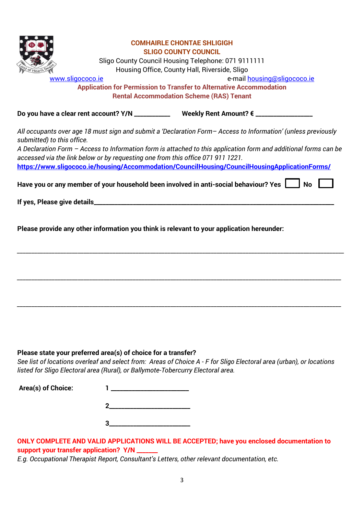

Sligo County Council Housing Telephone: 071 9111111 Housing Office, County Hall, Riverside, Sligo

[www.sligococo.ie](http://www.sligococo.ie/) e-mail [housing@sligococo.ie](mailto:housing@sligococo.ie)

**Application for Permission to Transfer to Alternative Accommodation Rental Accommodation Scheme (RAS) Tenant**

**Do you have a clear rent account? Y/N \_\_\_\_\_\_\_\_\_\_\_\_ Weekly Rent Amount? € \_\_\_\_\_\_\_\_\_\_\_\_\_\_\_\_\_\_\_**

*All occupants over age 18 must sign and submit a 'Declaration Form– Access to Information' (unless previously submitted) to this office.* 

*A Declaration Form – Access to Information form is attached to this application form and additional forms can be accessed via the link below or by requesting one from this office 071 911 1221.* **<https://www.sligococo.ie/housing/Accommodation/CouncilHousing/CouncilHousingApplicationForms/>**

*\_\_\_\_\_\_\_\_\_\_\_\_\_\_\_\_\_\_\_\_\_\_\_\_\_\_\_\_\_\_\_\_\_\_\_\_\_\_\_\_\_\_\_\_\_\_\_\_\_\_\_\_\_\_\_\_\_\_\_\_\_\_\_\_\_\_\_\_\_\_\_\_\_\_\_\_\_\_\_\_\_\_\_\_\_\_\_\_\_\_\_\_\_\_\_\_\_\_\_\_\_\_\_\_\_\_\_\_\_\_\_\_\_*

*\_\_\_\_\_\_\_\_\_\_\_\_\_\_\_\_\_\_\_\_\_\_\_\_\_\_\_\_\_\_\_\_\_\_\_\_\_\_\_\_\_\_\_\_\_\_\_\_\_\_\_\_\_\_\_\_\_\_\_\_\_\_\_\_\_\_\_\_\_\_\_\_\_\_\_\_\_\_\_\_\_\_\_\_\_\_\_\_\_\_\_\_\_\_\_\_\_\_\_\_\_\_\_\_\_\_\_\_\_\_\_\_*

*\_\_\_\_\_\_\_\_\_\_\_\_\_\_\_\_\_\_\_\_\_\_\_\_\_\_\_\_\_\_\_\_\_\_\_\_\_\_\_\_\_\_\_\_\_\_\_\_\_\_\_\_\_\_\_\_\_\_\_\_\_\_\_\_\_\_\_\_\_\_\_\_\_\_\_\_\_\_\_\_\_\_\_\_\_\_\_\_\_\_\_\_\_\_\_\_\_\_\_\_\_\_\_\_\_\_\_\_\_\_\_\_*

Have you or any member of your household been involved in anti-social behaviour? Yes  $\parallel$  No  $\parallel$ 

**If yes, Please give details\_\_\_\_\_\_\_\_\_\_\_\_\_\_\_\_\_\_\_\_\_\_\_\_\_\_\_\_\_\_\_\_\_\_\_\_\_\_\_\_\_\_\_\_\_\_\_\_\_\_\_\_\_\_\_\_\_\_\_\_\_\_\_\_\_\_\_\_\_\_\_\_\_\_\_\_\_\_\_\_**

**Please provide any other information you think is relevant to your application hereunder:** 

## **Please state your preferred area(s) of choice for a transfer?**

*See list of locations overleaf and select from: Areas of Choice A - F for Sligo Electoral area (urban), or locations listed for Sligo Electoral area (Rural), or Ballymote-Tobercurry Electoral area.* 

| Area(s) of Choice: |  |
|--------------------|--|
|                    |  |
|                    |  |

## **ONLY COMPLETE AND VALID APPLICATIONS WILL BE ACCEPTED; have you enclosed documentation to**  support your transfer application? Y/N

*E.g. Occupational Therapist Report, Consultant's Letters, other relevant documentation, etc.*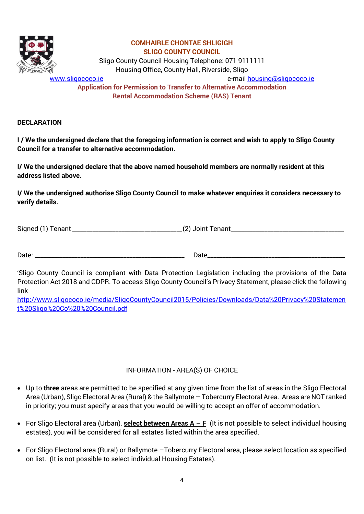

Sligo County Council Housing Telephone: 071 9111111 Housing Office, County Hall, Riverside, Sligo

[www.sligococo.ie](http://www.sligococo.ie/) e-mail [housing@sligococo.ie](mailto:housing@sligococo.ie)

**Application for Permission to Transfer to Alternative Accommodation Rental Accommodation Scheme (RAS) Tenant**

**DECLARATION** 

**I / We the undersigned declare that the foregoing information is correct and wish to apply to Sligo County Council for a transfer to alternative accommodation.**

**I/ We the undersigned declare that the above named household members are normally resident at this address listed above.**

**I/ We the undersigned authorise Sligo County Council to make whatever enquiries it considers necessary to verify details.**

Signed (1) Tenant *\_\_\_\_\_\_\_\_\_\_\_\_\_\_\_\_\_\_\_\_\_\_\_\_\_\_\_\_\_\_\_\_\_\_\_\_\_\_*(2) Joint Tenant\_\_\_\_\_\_\_\_\_\_\_\_\_\_\_\_\_\_\_\_\_\_\_\_\_\_\_\_\_\_\_\_\_\_\_\_\_

Date: \_\_\_\_\_\_\_\_\_\_\_\_\_\_\_\_\_\_\_\_\_\_\_\_\_\_\_\_\_\_\_\_\_\_\_\_\_\_\_\_\_\_\_\_\_\_\_\_\_ Date\_\_\_\_\_\_\_\_\_\_\_\_\_\_\_\_\_\_\_\_\_\_\_\_\_\_\_\_\_\_\_\_\_\_\_\_\_\_\_\_\_\_\_\_\_

'Sligo County Council is compliant with Data Protection Legislation including the provisions of the Data Protection Act 2018 and GDPR. To access Sligo County Council's Privacy Statement, please click the following link

[http://www.sligococo.ie/media/SligoCountyCouncil2015/Policies/Downloads/Data%20Privacy%20Statemen](http://www.sligococo.ie/media/SligoCountyCouncil2015/Policies/Downloads/Data%20Privacy%20Statement%20Sligo%20Co%20%20Council.pdf) [t%20Sligo%20Co%20%20Council.pdf](http://www.sligococo.ie/media/SligoCountyCouncil2015/Policies/Downloads/Data%20Privacy%20Statement%20Sligo%20Co%20%20Council.pdf)

## INFORMATION - AREA(S) OF CHOICE

- Up to **three** areas are permitted to be specified at any given time from the list of areas in the Sligo Electoral Area (Urban), Sligo Electoral Area (Rural) & the Ballymote – Tobercurry Electoral Area. Areas are NOT ranked in priority; you must specify areas that you would be willing to accept an offer of accommodation.
- For Sligo Electoral area (Urban), **select between Areas A – F** (It is not possible to select individual housing estates), you will be considered for all estates listed within the area specified.
- For Sligo Electoral area (Rural) or Ballymote –Tobercurry Electoral area, please select location as specified on list. (It is not possible to select individual Housing Estates).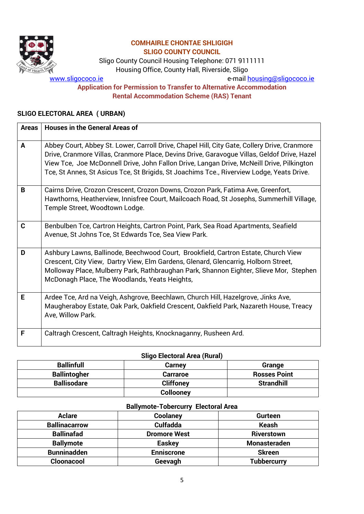

Sligo County Council Housing Telephone: 071 9111111 Housing Office, County Hall, Riverside, Sligo

[www.sligococo.ie](http://www.sligococo.ie/) e-mail [housing@sligococo.ie](mailto:housing@sligococo.ie)

#### **Application for Permission to Transfer to Alternative Accommodation Rental Accommodation Scheme (RAS) Tenant**

## **SLIGO ELECTORAL AREA ( URBAN)**

| <b>Areas</b> | <b>Houses in the General Areas of</b>                                                                                                                                                                                                                                                                                                                                                 |
|--------------|---------------------------------------------------------------------------------------------------------------------------------------------------------------------------------------------------------------------------------------------------------------------------------------------------------------------------------------------------------------------------------------|
| A            | Abbey Court, Abbey St. Lower, Carroll Drive, Chapel Hill, City Gate, Collery Drive, Cranmore<br>Drive, Cranmore Villas, Cranmore Place, Devins Drive, Garavogue Villas, Geldof Drive, Hazel<br>View Tce, Joe McDonnell Drive, John Fallon Drive, Langan Drive, McNeill Drive, Pilkington<br>Tce, St Annes, St Asicus Tce, St Brigids, St Joachims Tce., Riverview Lodge, Yeats Drive. |
| B            | Cairns Drive, Crozon Crescent, Crozon Downs, Crozon Park, Fatima Ave, Greenfort,<br>Hawthorns, Heatherview, Innisfree Court, Mailcoach Road, St Josephs, Summerhill Village,<br>Temple Street, Woodtown Lodge.                                                                                                                                                                        |
| $\mathbf C$  | Benbulben Tce, Cartron Heights, Cartron Point, Park, Sea Road Apartments, Seafield<br>Avenue, St Johns Tce, St Edwards Tce, Sea View Park.                                                                                                                                                                                                                                            |
| D            | Ashbury Lawns, Ballinode, Beechwood Court, Brookfield, Cartron Estate, Church View<br>Crescent, City View, Dartry View, Elm Gardens, Glenard, Glencarrig, Holborn Street,<br>Molloway Place, Mulberry Park, Rathbraughan Park, Shannon Eighter, Slieve Mor, Stephen<br>McDonagh Place, The Woodlands, Yeats Heights,                                                                  |
| E            | Ardee Tce, Ard na Veigh, Ashgrove, Beechlawn, Church Hill, Hazelgrove, Jinks Ave,<br>Maugheraboy Estate, Oak Park, Oakfield Crescent, Oakfield Park, Nazareth House, Treacy<br>Ave, Willow Park.                                                                                                                                                                                      |
| F            | Caltragh Crescent, Caltragh Heights, Knocknaganny, Rusheen Ard.                                                                                                                                                                                                                                                                                                                       |

#### **Sligo Electoral Area (Rural)**

| <b>Ballinfull</b>   | <b>Carney</b>    | Grange              |  |  |
|---------------------|------------------|---------------------|--|--|
| <b>Ballintogher</b> | <b>Carraroe</b>  | <b>Rosses Point</b> |  |  |
| <b>Ballisodare</b>  | <b>Cliffoney</b> | <b>Strandhill</b>   |  |  |
|                     | <b>Collooney</b> |                     |  |  |

#### **Ballymote-Tobercurry Electoral Area**

| <b>Aclare</b>        | Coolaney            | <b>Gurteen</b>     |
|----------------------|---------------------|--------------------|
| <b>Ballinacarrow</b> | <b>Culfadda</b>     | <b>Keash</b>       |
| <b>Ballinafad</b>    | <b>Dromore West</b> | <b>Riverstown</b>  |
| <b>Ballymote</b>     | <b>Easkey</b>       | Monasteraden       |
| <b>Bunninadden</b>   | <b>Enniscrone</b>   | <b>Skreen</b>      |
| Cloonacool           | Geevagh             | <b>Tubbercurry</b> |